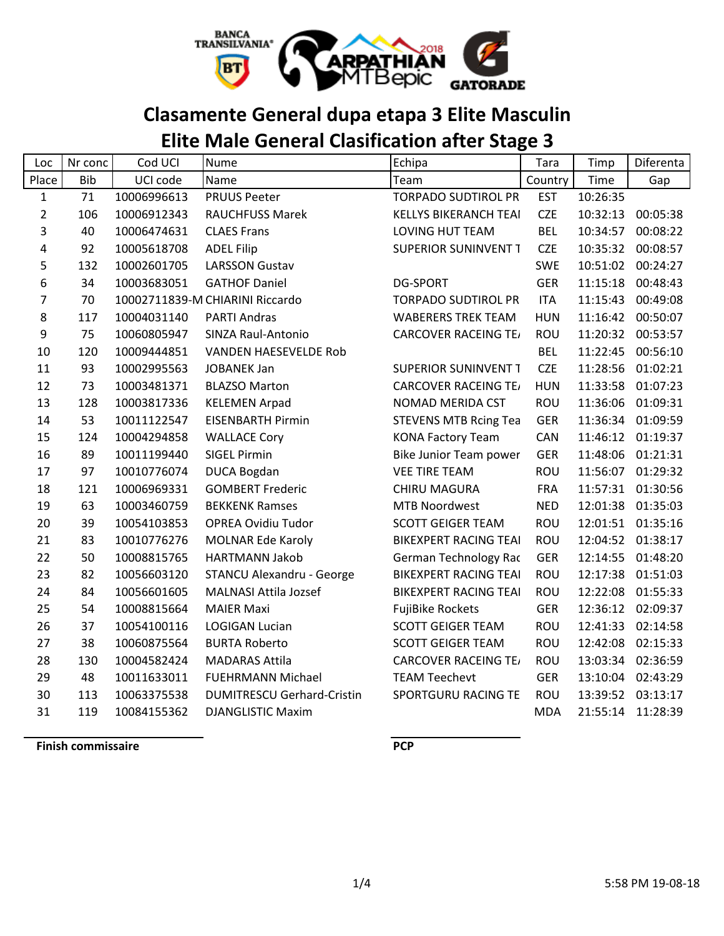

## **Clasamente General dupa etapa 3 Elite Masculin**

# **Elite Male General Clasification after Stage 3**

| Loc            | Nr conc    | Cod UCI     | Nume                              | Echipa                       | Tara       | Timp     | Diferenta         |
|----------------|------------|-------------|-----------------------------------|------------------------------|------------|----------|-------------------|
| Place          | <b>Bib</b> | UCI code    | Name                              | Team                         | Country    | Time     | Gap               |
| $\mathbf{1}$   | 71         | 10006996613 | <b>PRUUS Peeter</b>               | <b>TORPADO SUDTIROL PR</b>   | <b>EST</b> | 10:26:35 |                   |
| $\overline{2}$ | 106        | 10006912343 | <b>RAUCHFUSS Marek</b>            | <b>KELLYS BIKERANCH TEAI</b> | <b>CZE</b> | 10:32:13 | 00:05:38          |
| 3              | 40         | 10006474631 | <b>CLAES Frans</b>                | <b>LOVING HUT TEAM</b>       | <b>BEL</b> | 10:34:57 | 00:08:22          |
| 4              | 92         | 10005618708 | <b>ADEL Filip</b>                 | <b>SUPERIOR SUNINVENT T</b>  | <b>CZE</b> | 10:35:32 | 00:08:57          |
| 5              | 132        | 10002601705 | <b>LARSSON Gustav</b>             |                              | <b>SWE</b> | 10:51:02 | 00:24:27          |
| 6              | 34         | 10003683051 | <b>GATHOF Daniel</b>              | <b>DG-SPORT</b>              | <b>GER</b> | 11:15:18 | 00:48:43          |
| 7              | 70         |             | 10002711839-M CHIARINI Riccardo   | <b>TORPADO SUDTIROL PR</b>   | <b>ITA</b> | 11:15:43 | 00:49:08          |
| 8              | 117        | 10004031140 | <b>PARTI Andras</b>               | <b>WABERERS TREK TEAM</b>    | <b>HUN</b> | 11:16:42 | 00:50:07          |
| 9              | 75         | 10060805947 | SINZA Raul-Antonio                | <b>CARCOVER RACEING TE/</b>  | ROU        | 11:20:32 | 00:53:57          |
| 10             | 120        | 10009444851 | <b>VANDEN HAESEVELDE Rob</b>      |                              | <b>BEL</b> | 11:22:45 | 00:56:10          |
| 11             | 93         | 10002995563 | <b>JOBANEK Jan</b>                | <b>SUPERIOR SUNINVENT T</b>  | <b>CZE</b> | 11:28:56 | 01:02:21          |
| 12             | 73         | 10003481371 | <b>BLAZSO Marton</b>              | <b>CARCOVER RACEING TE/</b>  | <b>HUN</b> | 11:33:58 | 01:07:23          |
| 13             | 128        | 10003817336 | <b>KELEMEN Arpad</b>              | NOMAD MERIDA CST             | <b>ROU</b> | 11:36:06 | 01:09:31          |
| 14             | 53         | 10011122547 | <b>EISENBARTH Pirmin</b>          | <b>STEVENS MTB Rcing Tea</b> | <b>GER</b> | 11:36:34 | 01:09:59          |
| 15             | 124        | 10004294858 | <b>WALLACE Cory</b>               | <b>KONA Factory Team</b>     | CAN        | 11:46:12 | 01:19:37          |
| 16             | 89         | 10011199440 | <b>SIGEL Pirmin</b>               | Bike Junior Team power       | <b>GER</b> | 11:48:06 | 01:21:31          |
| 17             | 97         | 10010776074 | <b>DUCA Bogdan</b>                | <b>VEE TIRE TEAM</b>         | ROU        | 11:56:07 | 01:29:32          |
| 18             | 121        | 10006969331 | <b>GOMBERT Frederic</b>           | <b>CHIRU MAGURA</b>          | <b>FRA</b> | 11:57:31 | 01:30:56          |
| 19             | 63         | 10003460759 | <b>BEKKENK Ramses</b>             | <b>MTB Noordwest</b>         | <b>NED</b> | 12:01:38 | 01:35:03          |
| 20             | 39         | 10054103853 | <b>OPREA Ovidiu Tudor</b>         | <b>SCOTT GEIGER TEAM</b>     | <b>ROU</b> |          | 12:01:51 01:35:16 |
| 21             | 83         | 10010776276 | <b>MOLNAR Ede Karoly</b>          | <b>BIKEXPERT RACING TEAI</b> | ROU        | 12:04:52 | 01:38:17          |
| 22             | 50         | 10008815765 | <b>HARTMANN Jakob</b>             | German Technology Rac        | <b>GER</b> | 12:14:55 | 01:48:20          |
| 23             | 82         | 10056603120 | <b>STANCU Alexandru - George</b>  | <b>BIKEXPERT RACING TEAI</b> | ROU        | 12:17:38 | 01:51:03          |
| 24             | 84         | 10056601605 | <b>MALNASI Attila Jozsef</b>      | <b>BIKEXPERT RACING TEAI</b> | ROU        | 12:22:08 | 01:55:33          |
| 25             | 54         | 10008815664 | <b>MAIER Maxi</b>                 | <b>FujiBike Rockets</b>      | <b>GER</b> | 12:36:12 | 02:09:37          |
| 26             | 37         | 10054100116 | <b>LOGIGAN Lucian</b>             | <b>SCOTT GEIGER TEAM</b>     | <b>ROU</b> | 12:41:33 | 02:14:58          |
| 27             | 38         | 10060875564 | <b>BURTA Roberto</b>              | <b>SCOTT GEIGER TEAM</b>     | <b>ROU</b> | 12:42:08 | 02:15:33          |
| 28             | 130        | 10004582424 | <b>MADARAS Attila</b>             | <b>CARCOVER RACEING TE/</b>  | ROU        | 13:03:34 | 02:36:59          |
| 29             | 48         | 10011633011 | <b>FUEHRMANN Michael</b>          | <b>TEAM Teechevt</b>         | <b>GER</b> | 13:10:04 | 02:43:29          |
| 30             | 113        | 10063375538 | <b>DUMITRESCU Gerhard-Cristin</b> | <b>SPORTGURU RACING TE</b>   | <b>ROU</b> | 13:39:52 | 03:13:17          |
| 31             | 119        | 10084155362 | <b>DJANGLISTIC Maxim</b>          |                              | <b>MDA</b> | 21:55:14 | 11:28:39          |

**Finish commissaire PCP**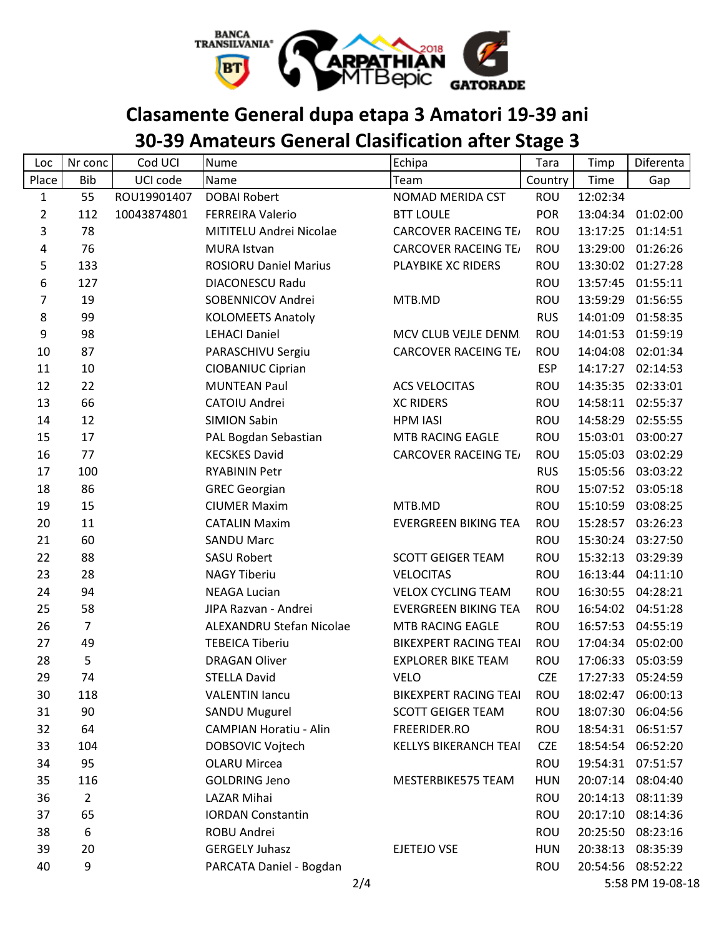

# **Clasamente General dupa etapa 3 Amatori 19-39 ani**

# **30-39 Amateurs General Clasification after Stage 3**

| Loc            | Nr conc        | Cod UCI     | <b>Nume</b>                   | Echipa                       | Tara       | Timp     | Diferenta         |
|----------------|----------------|-------------|-------------------------------|------------------------------|------------|----------|-------------------|
| Place          | <b>Bib</b>     | UCI code    | Name                          | Team                         | Country    | Time     | Gap               |
| $\mathbf{1}$   | 55             | ROU19901407 | <b>DOBAI Robert</b>           | NOMAD MERIDA CST             | <b>ROU</b> | 12:02:34 |                   |
| $\overline{2}$ | 112            | 10043874801 | <b>FERREIRA Valerio</b>       | <b>BTT LOULE</b>             | <b>POR</b> | 13:04:34 | 01:02:00          |
| $\mathsf{3}$   | 78             |             | MITITELU Andrei Nicolae       | <b>CARCOVER RACEING TE/</b>  | ROU        | 13:17:25 | 01:14:51          |
| 4              | 76             |             | <b>MURA Istvan</b>            | <b>CARCOVER RACEING TE/</b>  | ROU        | 13:29:00 | 01:26:26          |
| 5              | 133            |             | <b>ROSIORU Daniel Marius</b>  | PLAYBIKE XC RIDERS           | <b>ROU</b> |          | 13:30:02 01:27:28 |
| 6              | 127            |             | <b>DIACONESCU Radu</b>        |                              | ROU        | 13:57:45 | 01:55:11          |
| $\overline{7}$ | 19             |             | SOBENNICOV Andrei             | MTB.MD                       | <b>ROU</b> |          | 13:59:29 01:56:55 |
| 8              | 99             |             | <b>KOLOMEETS Anatoly</b>      |                              | <b>RUS</b> | 14:01:09 | 01:58:35          |
| 9              | 98             |             | <b>LEHACI Daniel</b>          | MCV CLUB VEJLE DENM.         | ROU        |          | 14:01:53 01:59:19 |
| 10             | 87             |             | PARASCHIVU Sergiu             | <b>CARCOVER RACEING TE/</b>  | <b>ROU</b> | 14:04:08 | 02:01:34          |
| 11             | 10             |             | CIOBANIUC Ciprian             |                              | <b>ESP</b> | 14:17:27 | 02:14:53          |
| 12             | 22             |             | <b>MUNTEAN Paul</b>           | <b>ACS VELOCITAS</b>         | ROU        |          | 14:35:35 02:33:01 |
| 13             | 66             |             | CATOIU Andrei                 | <b>XC RIDERS</b>             | ROU        |          | 14:58:11 02:55:37 |
| 14             | 12             |             | <b>SIMION Sabin</b>           | <b>HPM IASI</b>              | ROU        |          | 14:58:29 02:55:55 |
| 15             | 17             |             | PAL Bogdan Sebastian          | MTB RACING EAGLE             | ROU        |          | 15:03:01 03:00:27 |
| 16             | 77             |             | <b>KECSKES David</b>          | <b>CARCOVER RACEING TE/</b>  | <b>ROU</b> | 15:05:03 | 03:02:29          |
| 17             | 100            |             | <b>RYABININ Petr</b>          |                              | <b>RUS</b> |          | 15:05:56 03:03:22 |
| 18             | 86             |             | <b>GREC Georgian</b>          |                              | <b>ROU</b> |          | 15:07:52 03:05:18 |
| 19             | 15             |             | <b>CIUMER Maxim</b>           | MTB.MD                       | ROU        |          | 15:10:59 03:08:25 |
| 20             | 11             |             | <b>CATALIN Maxim</b>          | <b>EVERGREEN BIKING TEA</b>  | <b>ROU</b> | 15:28:57 | 03:26:23          |
| 21             | 60             |             | <b>SANDU Marc</b>             |                              | <b>ROU</b> | 15:30:24 | 03:27:50          |
| 22             | 88             |             | <b>SASU Robert</b>            | <b>SCOTT GEIGER TEAM</b>     | <b>ROU</b> | 15:32:13 | 03:29:39          |
| 23             | 28             |             | <b>NAGY Tiberiu</b>           | <b>VELOCITAS</b>             | ROU        | 16:13:44 | 04:11:10          |
| 24             | 94             |             | <b>NEAGA Lucian</b>           | <b>VELOX CYCLING TEAM</b>    | ROU        |          | 16:30:55 04:28:21 |
| 25             | 58             |             | JIPA Razvan - Andrei          | <b>EVERGREEN BIKING TEA</b>  | ROU        | 16:54:02 | 04:51:28          |
| 26             | $\overline{7}$ |             | ALEXANDRU Stefan Nicolae      | MTB RACING EAGLE             | ROU        |          | 16:57:53 04:55:19 |
| 27             | 49             |             | <b>TEBEICA Tiberiu</b>        | <b>BIKEXPERT RACING TEAI</b> | <b>ROU</b> | 17:04:34 | 05:02:00          |
| 28             | 5              |             | <b>DRAGAN Oliver</b>          | <b>EXPLORER BIKE TEAM</b>    | <b>ROU</b> | 17:06:33 | 05:03:59          |
| 29             | 74             |             | <b>STELLA David</b>           | <b>VELO</b>                  | <b>CZE</b> | 17:27:33 | 05:24:59          |
| 30             | 118            |             | <b>VALENTIN lancu</b>         | <b>BIKEXPERT RACING TEAI</b> | ROU        | 18:02:47 | 06:00:13          |
| 31             | 90             |             | <b>SANDU Mugurel</b>          | <b>SCOTT GEIGER TEAM</b>     | <b>ROU</b> | 18:07:30 | 06:04:56          |
| 32             | 64             |             | <b>CAMPIAN Horatiu - Alin</b> | FREERIDER.RO                 | <b>ROU</b> | 18:54:31 | 06:51:57          |
| 33             | 104            |             | DOBSOVIC Vojtech              | <b>KELLYS BIKERANCH TEAI</b> | <b>CZE</b> | 18:54:54 | 06:52:20          |
| 34             | 95             |             | <b>OLARU Mircea</b>           |                              | <b>ROU</b> |          | 19:54:31 07:51:57 |
| 35             | 116            |             | <b>GOLDRING Jeno</b>          | MESTERBIKE575 TEAM           | <b>HUN</b> | 20:07:14 | 08:04:40          |
| 36             | $\overline{2}$ |             | LAZAR Mihai                   |                              | ROU        | 20:14:13 | 08:11:39          |
| 37             | 65             |             | <b>IORDAN Constantin</b>      |                              | <b>ROU</b> | 20:17:10 | 08:14:36          |
| 38             | 6              |             | ROBU Andrei                   |                              | ROU        |          | 20:25:50 08:23:16 |
| 39             | 20             |             | <b>GERGELY Juhasz</b>         | EJETEJO VSE                  | <b>HUN</b> | 20:38:13 | 08:35:39          |
| 40             | 9              |             | PARCATA Daniel - Bogdan       |                              | ROU        |          | 20:54:56 08:52:22 |
|                |                |             | 2/4                           |                              |            |          | 5:58 PM 19-08-18  |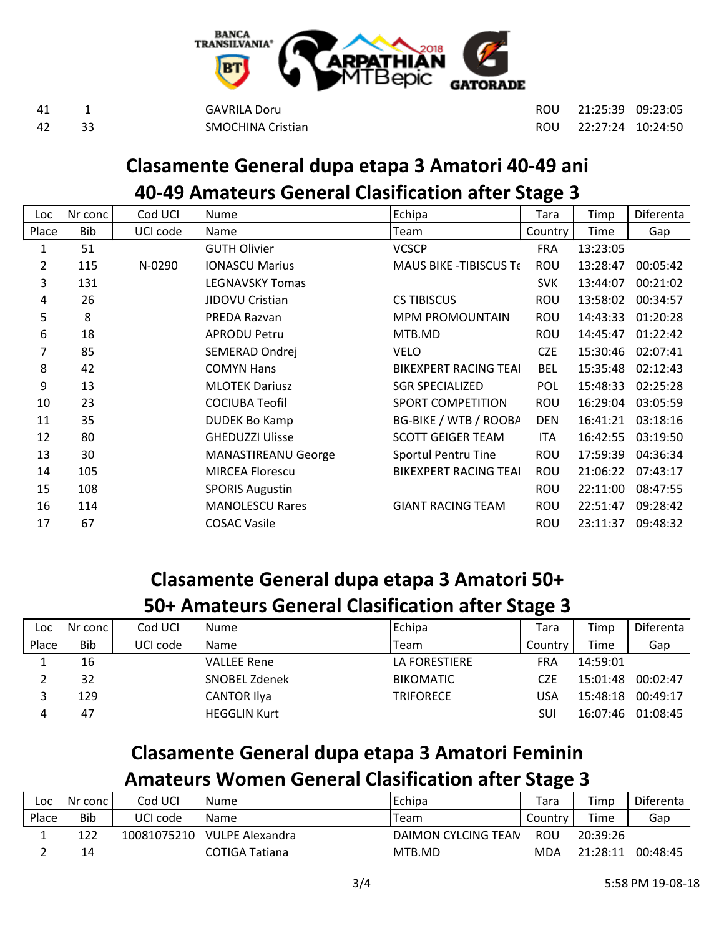

 1 GAVRILA Doru ROU 21:25:39 09:23:05 33 SMOCHINA Cristian ROU 22:27:24 10:24:50

### **Clasamente General dupa etapa 3 Amatori 40-49 ani 40-49 Amateurs General Clasification after Stage 3**

| Loc   | Nr conc | Cod UCI  | <b>Nume</b>                | Echipa                       | Tara       | Timp     | Diferenta |
|-------|---------|----------|----------------------------|------------------------------|------------|----------|-----------|
| Place | Bib     | UCI code | <b>Name</b>                | Team                         | Country    | Time     | Gap       |
| 1     | 51      |          | <b>GUTH Olivier</b>        | <b>VCSCP</b>                 | <b>FRA</b> | 13:23:05 |           |
| 2     | 115     | N-0290   | <b>IONASCU Marius</b>      | MAUS BIKE - TIBISCUS TE      | ROU        | 13:28:47 | 00:05:42  |
| 3     | 131     |          | <b>LEGNAVSKY Tomas</b>     |                              | <b>SVK</b> | 13:44:07 | 00:21:02  |
| 4     | 26      |          | JIDOVU Cristian            | <b>CS TIBISCUS</b>           | ROU        | 13:58:02 | 00:34:57  |
| 5     | 8       |          | PREDA Razvan               | <b>MPM PROMOUNTAIN</b>       | <b>ROU</b> | 14:43:33 | 01:20:28  |
| 6     | 18      |          | <b>APRODU Petru</b>        | MTB.MD                       | <b>ROU</b> | 14:45:47 | 01:22:42  |
| 7     | 85      |          | SEMERAD Ondrej             | <b>VELO</b>                  | <b>CZE</b> | 15:30:46 | 02:07:41  |
| 8     | 42      |          | <b>COMYN Hans</b>          | <b>BIKEXPERT RACING TEAI</b> | <b>BEL</b> | 15:35:48 | 02:12:43  |
| 9     | 13      |          | <b>MLOTEK Dariusz</b>      | <b>SGR SPECIALIZED</b>       | <b>POL</b> | 15:48:33 | 02:25:28  |
| 10    | 23      |          | <b>COCIUBA Teofil</b>      | <b>SPORT COMPETITION</b>     | ROU        | 16:29:04 | 03:05:59  |
| 11    | 35      |          | <b>DUDEK Bo Kamp</b>       | BG-BIKE / WTB / ROOBA        | <b>DEN</b> | 16:41:21 | 03:18:16  |
| 12    | 80      |          | <b>GHEDUZZI Ulisse</b>     | <b>SCOTT GEIGER TEAM</b>     | <b>ITA</b> | 16:42:55 | 03:19:50  |
| 13    | 30      |          | <b>MANASTIREANU George</b> | Sportul Pentru Tine          | ROU        | 17:59:39 | 04:36:34  |
| 14    | 105     |          | <b>MIRCEA Florescu</b>     | <b>BIKEXPERT RACING TEAI</b> | <b>ROU</b> | 21:06:22 | 07:43:17  |
| 15    | 108     |          | <b>SPORIS Augustin</b>     |                              | ROU        | 22:11:00 | 08:47:55  |
| 16    | 114     |          | <b>MANOLESCU Rares</b>     | <b>GIANT RACING TEAM</b>     | ROU        | 22:51:47 | 09:28:42  |
| 17    | 67      |          | <b>COSAC Vasile</b>        |                              | <b>ROU</b> | 23:11:37 | 09:48:32  |

## **Clasamente General dupa etapa 3 Amatori 50+**

#### **50+ Amateurs General Clasification after Stage 3**

| Loc   | Nr conc | Cod UCI  | INume.              | Echipa           | Tara       | Timp     | Diferenta |
|-------|---------|----------|---------------------|------------------|------------|----------|-----------|
| Place | Bib     | UCI code | Name                | Team             | Country    | Time     | Gap       |
| ┻.    | 16      |          | <b>VALLEE Rene</b>  | LA FORESTIERE    | <b>FRA</b> | 14:59:01 |           |
|       | 32      |          | SNOBEL Zdenek       | <b>BIKOMATIC</b> | CZF        | 15:01:48 | 00:02:47  |
|       | 129     |          | <b>CANTOR Ilya</b>  | <b>TRIFORECE</b> | USA        | 15:48:18 | 00:49:17  |
| 4     | 47      |          | <b>HEGGLIN Kurt</b> |                  | SUI        | 16:07:46 | 01:08:45  |

### **Clasamente General dupa etapa 3 Amatori Feminin**

#### **Amateurs Women General Clasification after Stage 3**

| Loc   | Nr conc    | Cod UCI     | lNume           | Echipa              | Tara       | Timp     | Diferenta |
|-------|------------|-------------|-----------------|---------------------|------------|----------|-----------|
| Place | <b>Bib</b> | UCI code    | Name            | Team                | Country I  | Time     | Gap       |
|       | 122        | 10081075210 | VULPE Alexandra | DAIMON CYLCING TEAN | ROU        | 20:39:26 |           |
|       | 14         |             | COTIGA Tatiana  | MTB.MD              | <b>MDA</b> | 21:28:11 | 00:48:45  |